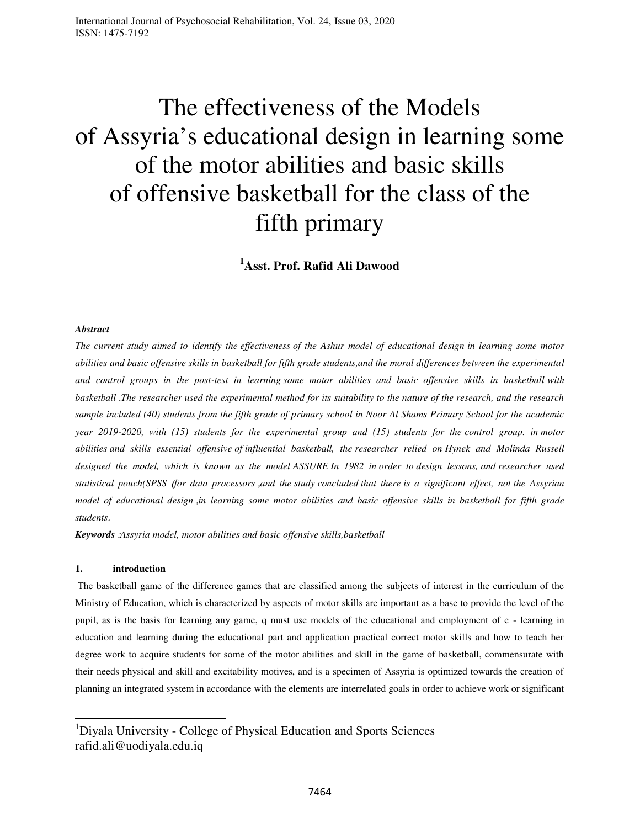# The effectiveness of the Models of Assyria's educational design in learning some of the motor abilities and basic skills of offensive basketball for the class of the fifth primary

**<sup>1</sup>Asst. Prof. Rafid Ali Dawood** 

### *Abstract*

*The current study aimed to identify the effectiveness of the Ashur model of educational design in learning some motor abilities and basic offensive skills in basketball for fifth grade students,and the moral differences between the experimental and control groups in the post-test in learning some motor abilities and basic offensive skills in basketball with basketball* . *The researcher used the experimental method for its suitability to the nature of the research, and the research sample included (40) students from the fifth grade of primary school in Noor Al Shams Primary School for the academic year 2019-2020, with (15) students for the experimental group and (15) students for the control group. in motor abilities and skills essential offensive of influential basketball, the researcher relied on Hynek and Molinda Russell designed the model, which is known as the mode[l](https://translate.google.com/translate?hl=ar&prev=_t&sl=ar&tl=en&u=http://www.mscd.edu/~act2/courseconstruct/assure.html) [ASSURE](https://translate.google.com/translate?hl=ar&prev=_t&sl=ar&tl=en&u=http://www.mscd.edu/~act2/courseconstruct/assure.html) In 1982 in order to design lessons, and researcher used statistical pouch(SPSS* )*for data processors* , *and the study concluded that there is a significant effect, not the Assyrian model of educational design* , *in learning some motor abilities and basic offensive skills in basketball for fifth grade students*.

*Keywords* : *Assyria model, motor abilities and basic offensive skills,basketball*

### **1. introduction**

l

 The basketball game of the difference games that are classified among the subjects of interest in the curriculum of the Ministry of Education, which is characterized by aspects of motor skills are important as a base to provide the level of the pupil, as is the basis for learning any game, q must use models of the educational and employment of e - learning in education and learning during the educational part and application practical correct motor skills and how to teach her degree work to acquire students for some of the motor abilities and skill in the game of basketball, commensurate with their needs physical and skill and excitability motives, and is a specimen of Assyria is optimized towards the creation of planning an integrated system in accordance with the elements are interrelated goals in order to achieve work or significant

<sup>&</sup>lt;sup>1</sup>Diyala University - College of Physical Education and Sports Sciences rafid.ali@uodiyala.edu.iq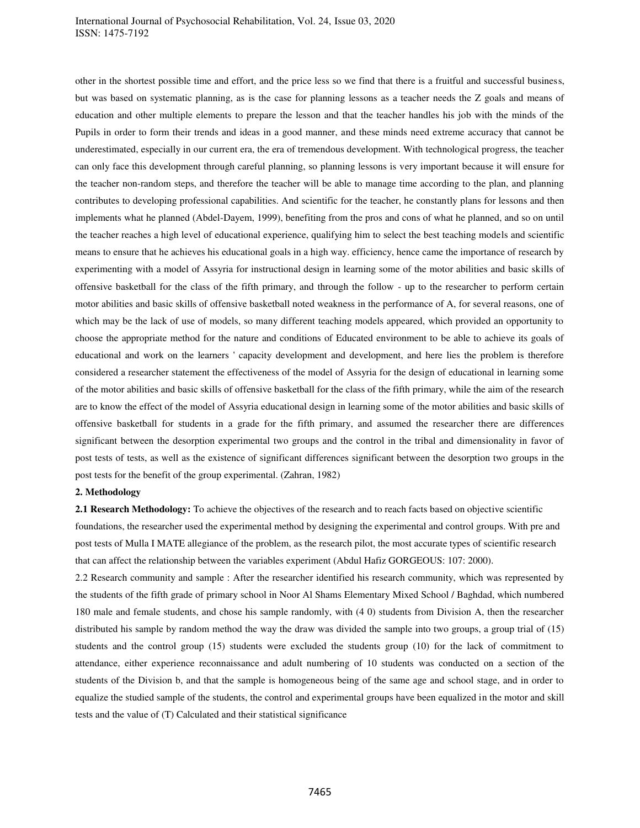### International Journal of Psychosocial Rehabilitation, Vol. 24, Issue 03, 2020 ISSN: 1475-7192

other in the shortest possible time and effort, and the price less so we find that there is a fruitful and successful business, but was based on systematic planning, as is the case for planning lessons as a teacher needs the Z goals and means of education and other multiple elements to prepare the lesson and that the teacher handles his job with the minds of the Pupils in order to form their trends and ideas in a good manner, and these minds need extreme accuracy that cannot be underestimated, especially in our current era, the era of tremendous development. With technological progress, the teacher can only face this development through careful planning, so planning lessons is very important because it will ensure for the teacher non-random steps, and therefore the teacher will be able to manage time according to the plan, and planning contributes to developing professional capabilities. And scientific for the teacher, he constantly plans for lessons and then implements what he planned (Abdel-Dayem, 1999), benefiting from the pros and cons of what he planned, and so on until the teacher reaches a high level of educational experience, qualifying him to select the best teaching models and scientific means to ensure that he achieves his educational goals in a high way. efficiency, hence came the importance of research by experimenting with a model of Assyria for instructional design in learning some of the motor abilities and basic skills of offensive basketball for the class of the fifth primary, and through the follow - up to the researcher to perform certain motor abilities and basic skills of offensive basketball noted weakness in the performance of A, for several reasons, one of which may be the lack of use of models, so many different teaching models appeared, which provided an opportunity to choose the appropriate method for the nature and conditions of Educated environment to be able to achieve its goals of educational and work on the learners ' capacity development and development, and here lies the problem is therefore considered a researcher statement the effectiveness of the model of Assyria for the design of educational in learning some of the motor abilities and basic skills of offensive basketball for the class of the fifth primary, while the aim of the research are to know the effect of the model of Assyria educational design in learning some of the motor abilities and basic skills of offensive basketball for students in a grade for the fifth primary, and assumed the researcher there are differences significant between the desorption experimental two groups and the control in the tribal and dimensionality in favor of post tests of tests, as well as the existence of significant differences significant between the desorption two groups in the post tests for the benefit of the group experimental. (Zahran, 1982)

### **2. Methodology**

**2.1 Research Methodology:** To achieve the objectives of the research and to reach facts based on objective scientific foundations, the researcher used the experimental method by designing the experimental and control groups. With pre and post tests of Mulla I MATE allegiance of the problem, as the research pilot, the most accurate types of scientific research that can affect the relationship between the variables experiment (Abdul Hafiz GORGEOUS: 107: 2000).

2.2 Research community and sample : After the researcher identified his research community, which was represented by the students of the fifth grade of primary school in Noor Al Shams Elementary Mixed School / Baghdad, which numbered 180 male and female students, and chose his sample randomly, with (4 0) students from Division A, then the researcher distributed his sample by random method the way the draw was divided the sample into two groups, a group trial of (15) students and the control group (15) students were excluded the students group (10) for the lack of commitment to attendance, either experience reconnaissance and adult numbering of 10 students was conducted on a section of the students of the Division b, and that the sample is homogeneous being of the same age and school stage, and in order to equalize the studied sample of the students, the control and experimental groups have been equalized in the motor and skill tests and the value of (T) Calculated and their statistical significance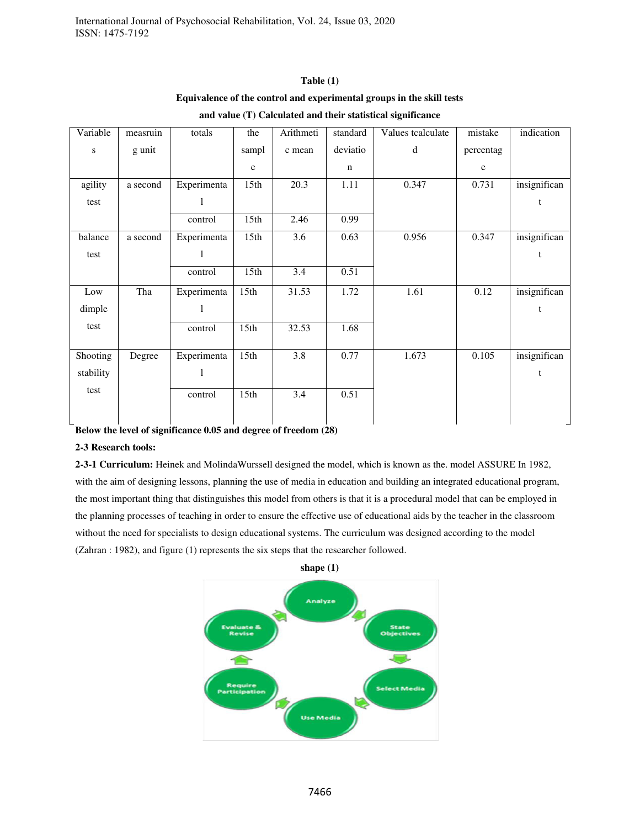# **Table (1) Equivalence of the control and experimental groups in the skill tests**

| Variable  | measruin | totals      | the              | Arithmeti | standard    | Values tcalculate | mistake   | indication   |
|-----------|----------|-------------|------------------|-----------|-------------|-------------------|-----------|--------------|
| ${\bf S}$ | g unit   |             | sampl            | c mean    | deviatio    | $\rm d$           | percentag |              |
|           |          |             | e                |           | $\mathbf n$ |                   | e         |              |
| agility   | a second | Experimenta | 15th             | 20.3      | 1.11        | 0.347             | 0.731     | insignifican |
| test      |          | 1           |                  |           |             |                   |           | t            |
|           |          | control     | 15 <sup>th</sup> | 2.46      | 0.99        |                   |           |              |
| balance   | a second | Experimenta | 15 <sub>th</sub> | 3.6       | 0.63        | 0.956             | 0.347     | insignifican |
| test      |          | 1           |                  |           |             |                   |           | t            |
|           |          | control     | 15 <sup>th</sup> | 3.4       | 0.51        |                   |           |              |
| Low       | Tha      | Experimenta | 15th             | 31.53     | 1.72        | 1.61              | 0.12      | insignifican |
| dimple    |          | 1           |                  |           |             |                   |           | t            |
| test      |          | control     | 15th             | 32.53     | 1.68        |                   |           |              |
|           |          |             |                  |           |             |                   |           |              |
| Shooting  | Degree   | Experimenta | 15th             | 3.8       | 0.77        | 1.673             | 0.105     | insignifican |
| stability |          | 1           |                  |           |             |                   |           | t            |
| test      |          | control     | 15th             | 3.4       | 0.51        |                   |           |              |

### **and value (T) Calculated and their statistical significance**

**Below the level of significance 0.05 and degree of freedom (28)** 

# **2-3 Research tools:**

**2-3-1 Curriculum:** Heinek and MolindaWurssell designed the model, which is known as the. model ASSURE In 1982, with the aim of designing lessons, planning the use of media in education and building an integrated educational program, the most important thing that distinguishes this model from others is that it is a procedural model that can be employed in the planning processes of teaching in order to ensure the effective use of educational aids by the teacher in the classroom without the need for specialists to design educational systems. The curriculum was designed according to the model (Zahran : 1982), and figure (1) represents the six steps that the researcher followed.



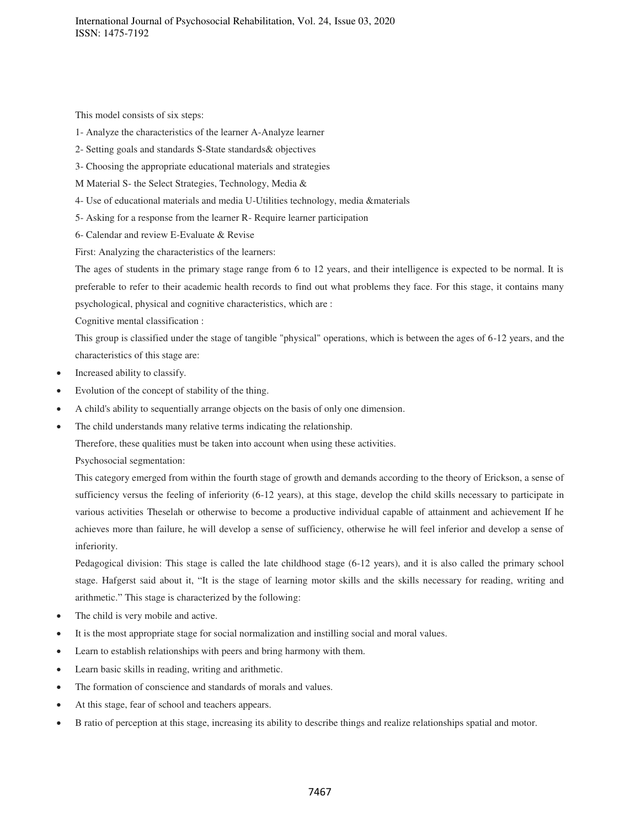This model consists of six steps:

- 1- Analyze the characteristics of the learner A-Analyze learner
- 2- Setting goals and standards S-State standards& objectives
- 3- Choosing the appropriate educational materials and strategies
- M Material S- the Select Strategies, Technology, Media &
- 4- Use of educational materials and media U-Utilities technology, media &materials
- 5- Asking for a response from the learner R- Require learner participation
- 6- Calendar and review E-Evaluate & Revise

First: Analyzing the characteristics of the learners:

The ages of students in the primary stage range from 6 to 12 years, and their intelligence is expected to be normal. It is preferable to refer to their academic health records to find out what problems they face. For this stage, it contains many psychological, physical and cognitive characteristics, which are :

Cognitive mental classification :

This group is classified under the stage of tangible "physical" operations, which is between the ages of 6-12 years, and the characteristics of this stage are:

- Increased ability to classify.
- Evolution of the concept of stability of the thing.
- A child's ability to sequentially arrange objects on the basis of only one dimension.
- The child understands many relative terms indicating the relationship.

Therefore, these qualities must be taken into account when using these activities.

Psychosocial segmentation:

This category emerged from within the fourth stage of growth and demands according to the theory of Erickson, a sense of sufficiency versus the feeling of inferiority (6-12 years), at this stage, develop the child skills necessary to participate in various activities Theselah or otherwise to become a productive individual capable of attainment and achievement If he achieves more than failure, he will develop a sense of sufficiency, otherwise he will feel inferior and develop a sense of inferiority.

Pedagogical division: This stage is called the late childhood stage (6-12 years), and it is also called the primary school stage. Hafgerst said about it, "It is the stage of learning motor skills and the skills necessary for reading, writing and arithmetic." This stage is characterized by the following:

- The child is very mobile and active.
- It is the most appropriate stage for social normalization and instilling social and moral values.
- Learn to establish relationships with peers and bring harmony with them.
- Learn basic skills in reading, writing and arithmetic.
- The formation of conscience and standards of morals and values.
- At this stage, fear of school and teachers appears.
- B ratio of perception at this stage, increasing its ability to describe things and realize relationships spatial and motor.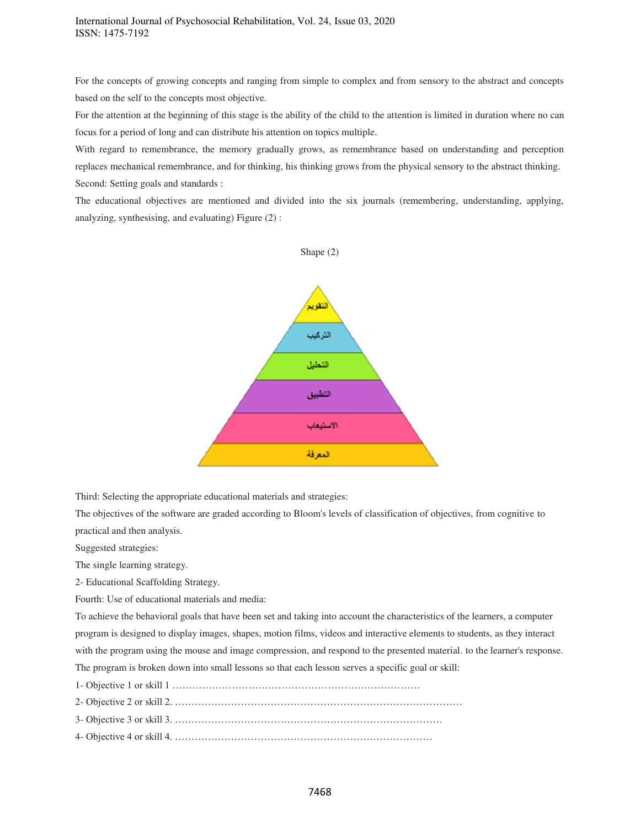For the concepts of growing concepts and ranging from simple to complex and from sensory to the abstract and concepts based on the self to the concepts most objective.

For the attention at the beginning of this stage is the ability of the child to the attention is limited in duration where no can focus for a period of long and can distribute his attention on topics multiple.

With regard to remembrance, the memory gradually grows, as remembrance based on understanding and perception replaces mechanical remembrance, and for thinking, his thinking grows from the physical sensory to the abstract thinking. Second: Setting goals and standards :

The educational objectives are mentioned and divided into the six journals (remembering, understanding, applying, analyzing, synthesising, and evaluating) Figure (2) :



Third: Selecting the appropriate educational materials and strategies:

The objectives of the software are graded according to Bloom's levels of classification of objectives, from cognitive to practical and then analysis.

Suggested strategies:

The single learning strategy.

2- Educational Scaffolding Strategy.

Fourth: Use of educational materials and media:

To achieve the behavioral goals that have been set and taking into account the characteristics of the learners, a computer program is designed to display images, shapes, motion films, videos and interactive elements to students, as they interact with the program using the mouse and image compression, and respond to the presented material. to the learner's response. The program is broken down into small lessons so that each lesson serves a specific goal or skill:

1- Objective 1 or skill 1 …………………………………………………………………

2- Objective 2 or skill 2. ……………………………………………………………………………

3- Objective 3 or skill 3. ………………………………………………………………………

4- Objective 4 or skill 4. ……………………………………………………………………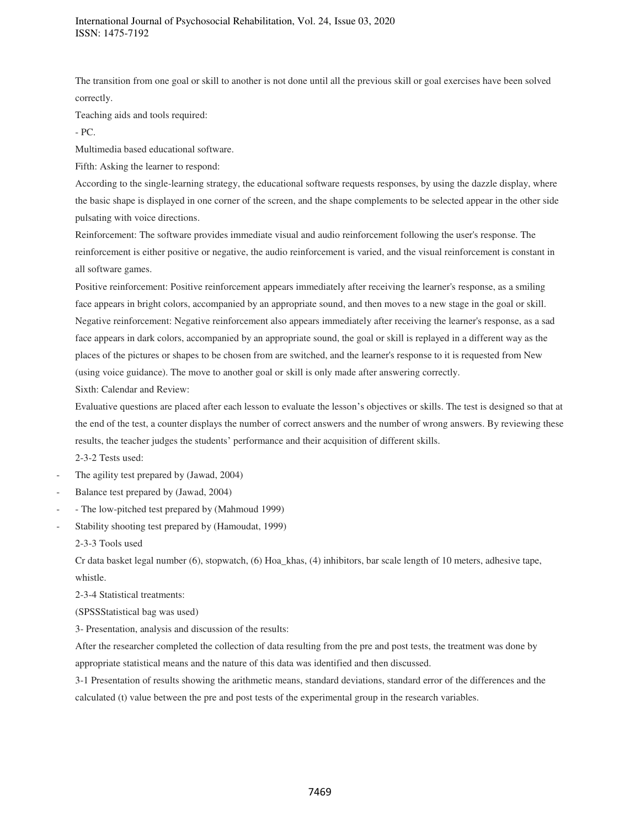The transition from one goal or skill to another is not done until all the previous skill or goal exercises have been solved correctly.

Teaching aids and tools required:

- PC.

Multimedia based educational software.

Fifth: Asking the learner to respond:

According to the single-learning strategy, the educational software requests responses, by using the dazzle display, where the basic shape is displayed in one corner of the screen, and the shape complements to be selected appear in the other side pulsating with voice directions.

Reinforcement: The software provides immediate visual and audio reinforcement following the user's response. The reinforcement is either positive or negative, the audio reinforcement is varied, and the visual reinforcement is constant in all software games.

Positive reinforcement: Positive reinforcement appears immediately after receiving the learner's response, as a smiling face appears in bright colors, accompanied by an appropriate sound, and then moves to a new stage in the goal or skill. Negative reinforcement: Negative reinforcement also appears immediately after receiving the learner's response, as a sad face appears in dark colors, accompanied by an appropriate sound, the goal or skill is replayed in a different way as the places of the pictures or shapes to be chosen from are switched, and the learner's response to it is requested from New (using voice guidance). The move to another goal or skill is only made after answering correctly.

Sixth: Calendar and Review:

Evaluative questions are placed after each lesson to evaluate the lesson's objectives or skills. The test is designed so that at the end of the test, a counter displays the number of correct answers and the number of wrong answers. By reviewing these results, the teacher judges the students' performance and their acquisition of different skills.

2-3-2 Tests used:

- The agility test prepared by (Jawad, 2004)
- Balance test prepared by (Jawad, 2004)
- - The low-pitched test prepared by (Mahmoud 1999)
- Stability shooting test prepared by (Hamoudat, 1999)

2-3-3 Tools used

Cr data basket legal number (6), stopwatch, (6) Hoa\_khas, (4) inhibitors, bar scale length of 10 meters, adhesive tape, whistle.

2-3-4 Statistical treatments:

(SPSSStatistical bag was used)

3- Presentation, analysis and discussion of the results:

After the researcher completed the collection of data resulting from the pre and post tests, the treatment was done by appropriate statistical means and the nature of this data was identified and then discussed.

3-1 Presentation of results showing the arithmetic means, standard deviations, standard error of the differences and the calculated (t) value between the pre and post tests of the experimental group in the research variables.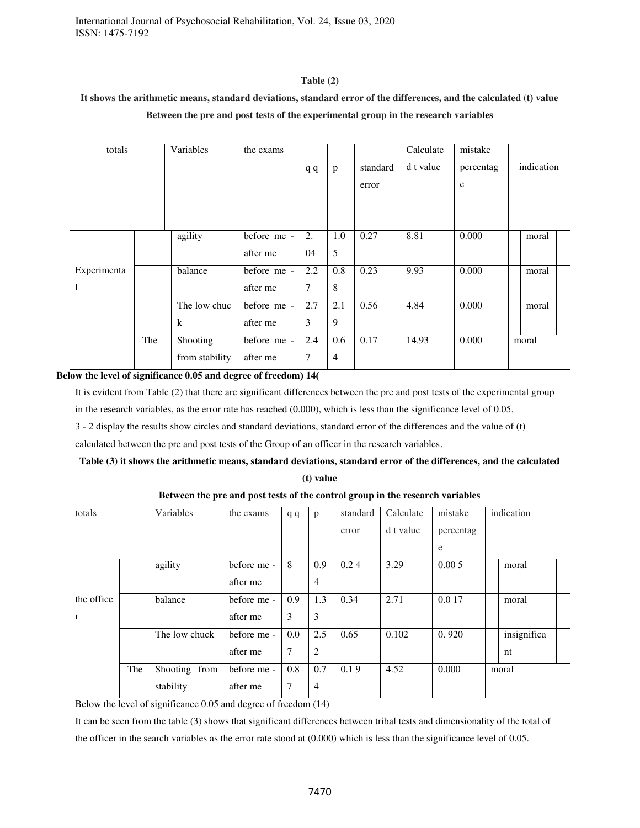# **Table (2)**

# **It shows the arithmetic means, standard deviations, standard error of the differences, and the calculated (t) value Between the pre and post tests of the experimental group in the research variables**

| totals      |     | Variables      | the exams   |                |                |          | Calculate | mistake   |            |       |  |
|-------------|-----|----------------|-------------|----------------|----------------|----------|-----------|-----------|------------|-------|--|
|             |     |                |             | q q            | p              | standard | d t value | percentag | indication |       |  |
|             |     |                |             |                |                | error    |           | e         |            |       |  |
|             |     |                |             |                |                |          |           |           |            |       |  |
|             |     |                |             |                |                |          |           |           |            |       |  |
|             |     | agility        | before me - | 2.             | 1.0            | 0.27     | 8.81      | 0.000     |            | moral |  |
|             |     |                | after me    | 04             | 5              |          |           |           |            |       |  |
| Experimenta |     | balance        | before me - | 2.2            | 0.8            | 0.23     | 9.93      | 0.000     |            | moral |  |
| 1           |     |                | after me    | $\tau$         | 8              |          |           |           |            |       |  |
|             |     | The low chuc   | before me - | 2.7            | 2.1            | 0.56     | 4.84      | 0.000     |            | moral |  |
|             |     | $\bf k$        | after me    | 3              | 9              |          |           |           |            |       |  |
|             | The | Shooting       | before me - | 2.4            | 0.6            | 0.17     | 14.93     | 0.000     |            | moral |  |
|             |     | from stability | after me    | $\overline{7}$ | $\overline{4}$ |          |           |           |            |       |  |

### Below the level of significance 0.05 and degree of freedom) 14(

It is evident from Table (2) that there are significant differences between the pre and post tests of the experimental group in the research variables, as the error rate has reached (0.000), which is less than the significance level of 0.05.

3 - 2 display the results show circles and standard deviations, standard error of the differences and the value of (t)

calculated between the pre and post tests of the Group of an officer in the research variables.

# **Table (3) it shows the arithmetic means, standard deviations, standard error of the differences, and the calculated**

**(t) value** 

| totals     |     | Variables     | the exams   | qq  | p              | standard | Calculate | mistake   | indication  |  |
|------------|-----|---------------|-------------|-----|----------------|----------|-----------|-----------|-------------|--|
|            |     |               |             |     |                | error    | d t value | percentag |             |  |
|            |     |               |             |     |                |          |           | e         |             |  |
|            |     | agility       | before me - | 8   | 0.9            | 0.24     | 3.29      | 0.005     | moral       |  |
|            |     |               | after me    |     | $\overline{4}$ |          |           |           |             |  |
| the office |     | balance       | before me - | 0.9 | 1.3            | 0.34     | 2.71      | 0.0 17    | moral       |  |
| r          |     |               | after me    | 3   | 3              |          |           |           |             |  |
|            |     | The low chuck | before me - | 0.0 | 2.5            | 0.65     | 0.102     | 0.920     | insignifica |  |
|            |     |               | after me    | 7   | 2              |          |           |           | nt          |  |
|            | The | Shooting from | before me - | 0.8 | 0.7            | 0.19     | 4.52      | 0.000     | moral       |  |
|            |     | stability     | after me    | 7   | $\overline{4}$ |          |           |           |             |  |

### **Between the pre and post tests of the control group in the research variables**

Below the level of significance 0.05 and degree of freedom (14)

It can be seen from the table (3) shows that significant differences between tribal tests and dimensionality of the total of the officer in the search variables as the error rate stood at (0.000) which is less than the significance level of 0.05.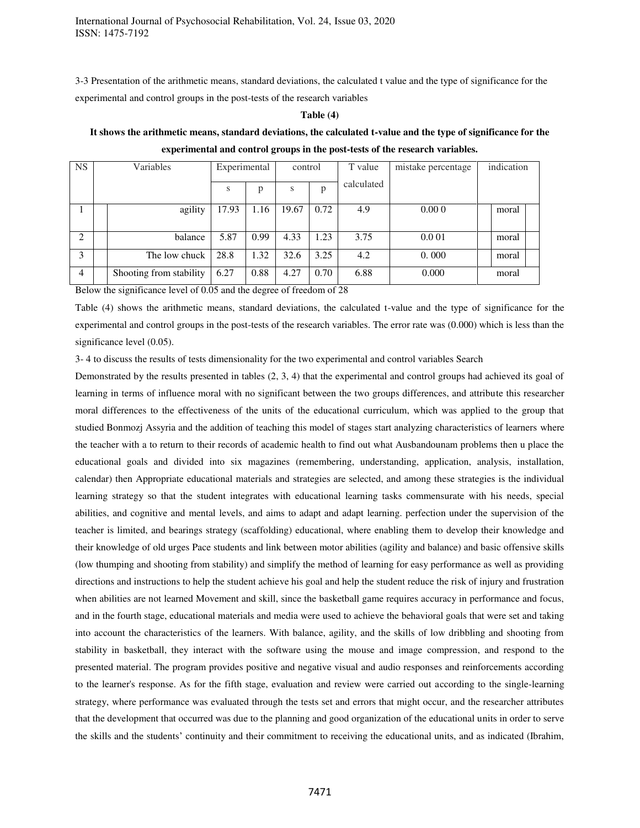3-3 Presentation of the arithmetic means, standard deviations, the calculated t value and the type of significance for the experimental and control groups in the post-tests of the research variables

#### **Table (4)**

# **It shows the arithmetic means, standard deviations, the calculated t-value and the type of significance for the experimental and control groups in the post-tests of the research variables.**

| <b>NS</b>                     | Variables |                         | Experimental |      | control |      | T value    | mistake percentage | indication |  |
|-------------------------------|-----------|-------------------------|--------------|------|---------|------|------------|--------------------|------------|--|
|                               |           |                         | S            | p    | S       | p    | calculated |                    |            |  |
|                               |           | agility                 | 17.93        | 1.16 | 19.67   | 0.72 | 4.9        | 0.000              | moral      |  |
| $\mathfrak{D}_{\mathfrak{p}}$ |           | balance                 | 5.87         | 0.99 | 4.33    | 1.23 | 3.75       | 0.001              | moral      |  |
| 3                             |           | The low chuck           | 28.8         | 1.32 | 32.6    | 3.25 | 4.2        | 0.000              | moral      |  |
| $\overline{4}$                |           | Shooting from stability | 6.27         | 0.88 | 4.27    | 0.70 | 6.88       | 0.000              | moral      |  |

Below the significance level of 0.05 and the degree of freedom of 28

Table (4) shows the arithmetic means, standard deviations, the calculated t-value and the type of significance for the experimental and control groups in the post-tests of the research variables. The error rate was (0.000) which is less than the significance level  $(0.05)$ .

3- 4 to discuss the results of tests dimensionality for the two experimental and control variables Search

Demonstrated by the results presented in tables (2, 3, 4) that the experimental and control groups had achieved its goal of learning in terms of influence moral with no significant between the two groups differences, and attribute this researcher moral differences to the effectiveness of the units of the educational curriculum, which was applied to the group that studied Bonmozj Assyria and the addition of teaching this model of stages start analyzing characteristics of learners where the teacher with a to return to their records of academic health to find out what Ausbandounam problems then u place the educational goals and divided into six magazines (remembering, understanding, application, analysis, installation, calendar) then Appropriate educational materials and strategies are selected, and among these strategies is the individual learning strategy so that the student integrates with educational learning tasks commensurate with his needs, special abilities, and cognitive and mental levels, and aims to adapt and adapt learning. perfection under the supervision of the teacher is limited, and bearings strategy (scaffolding) educational, where enabling them to develop their knowledge and their knowledge of old urges Pace students and link between motor abilities (agility and balance) and basic offensive skills (low thumping and shooting from stability) and simplify the method of learning for easy performance as well as providing directions and instructions to help the student achieve his goal and help the student reduce the risk of injury and frustration when abilities are not learned Movement and skill, since the basketball game requires accuracy in performance and focus, and in the fourth stage, educational materials and media were used to achieve the behavioral goals that were set and taking into account the characteristics of the learners. With balance, agility, and the skills of low dribbling and shooting from stability in basketball, they interact with the software using the mouse and image compression, and respond to the presented material. The program provides positive and negative visual and audio responses and reinforcements according to the learner's response. As for the fifth stage, evaluation and review were carried out according to the single-learning strategy, where performance was evaluated through the tests set and errors that might occur, and the researcher attributes that the development that occurred was due to the planning and good organization of the educational units in order to serve the skills and the students' continuity and their commitment to receiving the educational units, and as indicated (Ibrahim,